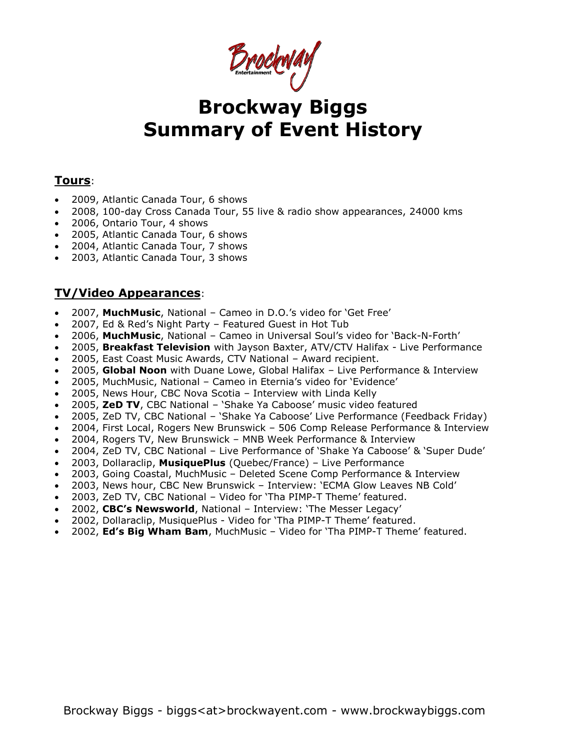Brockway

# **Brockway Biggs Summary of Event History**

# **Tours**:

- 2009, Atlantic Canada Tour, 6 shows
- 2008, 100-day Cross Canada Tour, 55 live & radio show appearances, 24000 kms
- 2006, Ontario Tour, 4 shows
- 2005, Atlantic Canada Tour, 6 shows
- 2004, Atlantic Canada Tour, 7 shows
- 2003, Atlantic Canada Tour, 3 shows

# **TV/Video Appearances**:

- 2007, **MuchMusic**, National Cameo in D.O.'s video for 'Get Free'
- 2007, Ed & Red's Night Party Featured Guest in Hot Tub
- 2006, **MuchMusic**, National Cameo in Universal Soul's video for 'Back-N-Forth'
- 2005, **Breakfast Television** with Jayson Baxter, ATV/CTV Halifax Live Performance
- 2005, East Coast Music Awards, CTV National Award recipient.
- 2005, **Global Noon** with Duane Lowe, Global Halifax Live Performance & Interview
- 2005, MuchMusic, National Cameo in Eternia's video for 'Evidence'
- 2005, News Hour, CBC Nova Scotia Interview with Linda Kelly
- 2005, **ZeD TV**, CBC National 'Shake Ya Caboose' music video featured
- 2005, ZeD TV, CBC National 'Shake Ya Caboose' Live Performance (Feedback Friday)
- 2004, First Local, Rogers New Brunswick 506 Comp Release Performance & Interview
- 2004, Rogers TV, New Brunswick MNB Week Performance & Interview
- 2004, ZeD TV, CBC National Live Performance of 'Shake Ya Caboose' & 'Super Dude'
- 2003, Dollaraclip, **MusiquePlus** (Quebec/France) Live Performance
- 2003, Going Coastal, MuchMusic Deleted Scene Comp Performance & Interview
- 2003, News hour, CBC New Brunswick Interview: 'ECMA Glow Leaves NB Cold'
- 2003, ZeD TV, CBC National Video for 'Tha PIMP-T Theme' featured.
- 2002, **CBC's Newsworld**, National Interview: 'The Messer Legacy'
- 2002, Dollaraclip, MusiquePlus Video for 'Tha PIMP-T Theme' featured.
- 2002, **Ed's Big Wham Bam**, MuchMusic Video for 'Tha PIMP-T Theme' featured.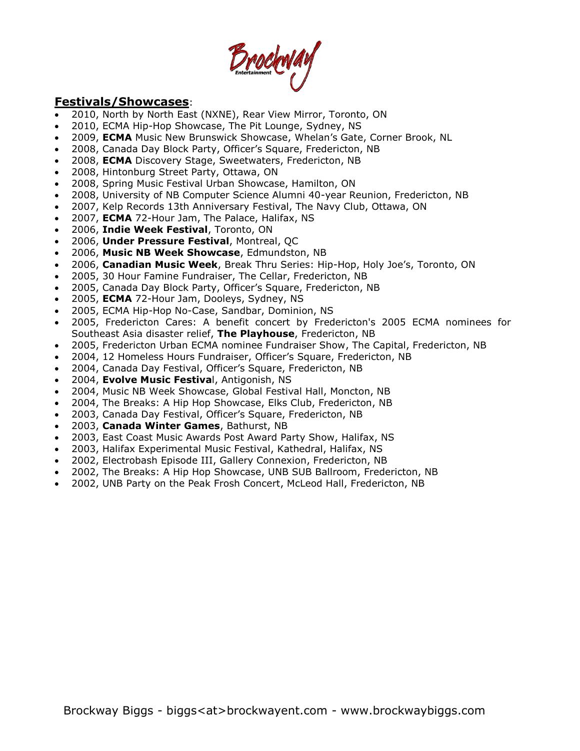Brochway

# **Festivals/Showcases**:

- 2010, North by North East (NXNE), Rear View Mirror, Toronto, ON
- 2010, ECMA Hip-Hop Showcase, The Pit Lounge, Sydney, NS
- 2009, **ECMA** Music New Brunswick Showcase, Whelan's Gate, Corner Brook, NL
- 2008, Canada Day Block Party, Officer's Square, Fredericton, NB
- 2008, **ECMA** Discovery Stage, Sweetwaters, Fredericton, NB
- 2008, Hintonburg Street Party, Ottawa, ON
- 2008, Spring Music Festival Urban Showcase, Hamilton, ON
- 2008, University of NB Computer Science Alumni 40-year Reunion, Fredericton, NB
- 2007, Kelp Records 13th Anniversary Festival, The Navy Club, Ottawa, ON
- 2007, **ECMA** 72-Hour Jam, The Palace, Halifax, NS
- 2006, **Indie Week Festival**, Toronto, ON
- 2006, **Under Pressure Festival**, Montreal, QC
- 2006, **Music NB Week Showcase**, Edmundston, NB
- 2006, **Canadian Music Week**, Break Thru Series: Hip-Hop, Holy Joe's, Toronto, ON
- 2005, 30 Hour Famine Fundraiser, The Cellar, Fredericton, NB
- 2005, Canada Day Block Party, Officer's Square, Fredericton, NB
- 2005, **ECMA** 72-Hour Jam, Dooleys, Sydney, NS
- 2005, ECMA Hip-Hop No-Case, Sandbar, Dominion, NS
- 2005, Fredericton Cares: A benefit concert by Fredericton's 2005 ECMA nominees for Southeast Asia disaster relief, **The Playhouse**, Fredericton, NB
- 2005, Fredericton Urban ECMA nominee Fundraiser Show, The Capital, Fredericton, NB
- 2004, 12 Homeless Hours Fundraiser, Officer's Square, Fredericton, NB
- 2004, Canada Day Festival, Officer's Square, Fredericton, NB
- 2004, **Evolve Music Festiva**l, Antigonish, NS
- 2004, Music NB Week Showcase, Global Festival Hall, Moncton, NB
- 2004, The Breaks: A Hip Hop Showcase, Elks Club, Fredericton, NB
- 2003, Canada Day Festival, Officer's Square, Fredericton, NB
- 2003, **Canada Winter Games**, Bathurst, NB
- 2003, East Coast Music Awards Post Award Party Show, Halifax, NS
- 2003, Halifax Experimental Music Festival, Kathedral, Halifax, NS
- 2002, Electrobash Episode III, Gallery Connexion, Fredericton, NB
- 2002, The Breaks: A Hip Hop Showcase, UNB SUB Ballroom, Fredericton, NB
- 2002, UNB Party on the Peak Frosh Concert, McLeod Hall, Fredericton, NB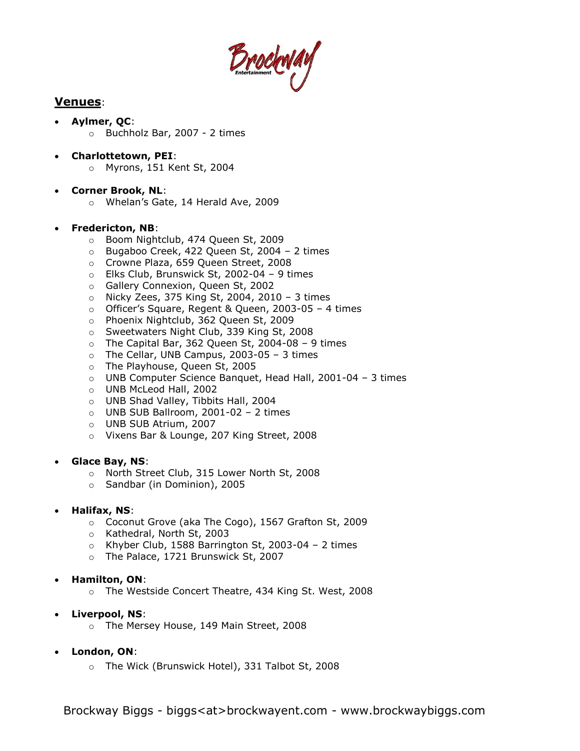

# **Venues**:

- **Aylmer, QC**: o Buchholz Bar, 2007 - 2 times
	-
- **Charlottetown, PEI**:
	- o Myrons, 151 Kent St, 2004
- **Corner Brook, NL**:
	- o Whelan's Gate, 14 Herald Ave, 2009

## **Fredericton, NB**:

- o Boom Nightclub, 474 Queen St, 2009
- o Bugaboo Creek, 422 Queen St, 2004 2 times
- o Crowne Plaza, 659 Queen Street, 2008
- o Elks Club, Brunswick St, 2002-04 9 times
- o Gallery Connexion, Queen St, 2002
- o Nicky Zees, 375 King St, 2004, 2010 3 times
- o Officer's Square, Regent & Queen, 2003-05 4 times
- o Phoenix Nightclub, 362 Queen St, 2009
- o Sweetwaters Night Club, 339 King St, 2008
- $\circ$  The Capital Bar, 362 Queen St, 2004-08 9 times
- o The Cellar, UNB Campus, 2003-05 3 times
- o The Playhouse, Queen St, 2005
- o UNB Computer Science Banquet, Head Hall, 2001-04 3 times
- o UNB McLeod Hall, 2002
- o UNB Shad Valley, Tibbits Hall, 2004
- $\circ$  UNB SUB Ballroom, 2001-02 2 times
- o UNB SUB Atrium, 2007
- o Vixens Bar & Lounge, 207 King Street, 2008

## **Glace Bay, NS**:

- o North Street Club, 315 Lower North St, 2008
- o Sandbar (in Dominion), 2005

## **Halifax, NS**:

- o Coconut Grove (aka The Cogo), 1567 Grafton St, 2009
- o Kathedral, North St, 2003
- o Khyber Club, 1588 Barrington St, 2003-04 2 times
- o The Palace, 1721 Brunswick St, 2007

#### **Hamilton, ON**:

- o The Westside Concert Theatre, 434 King St. West, 2008
- **Liverpool, NS**:
	- o The Mersey House, 149 Main Street, 2008
- **London, ON**:
	- o The Wick (Brunswick Hotel), 331 Talbot St, 2008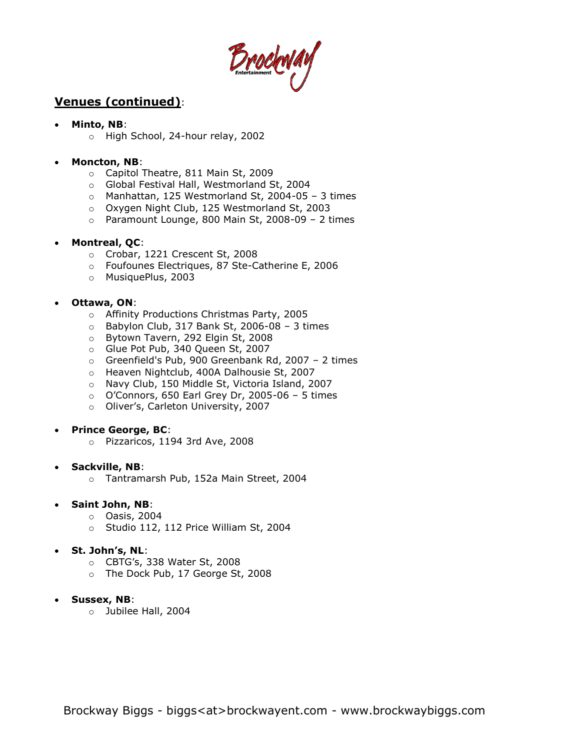DrockWay

# **Venues (continued)**:

- **Minto, NB**:
	- o High School, 24-hour relay, 2002

## **Moncton, NB**:

- o Capitol Theatre, 811 Main St, 2009
- o Global Festival Hall, Westmorland St, 2004
- $\circ$  Manhattan, 125 Westmorland St, 2004-05 3 times
- o Oxygen Night Club, 125 Westmorland St, 2003
- o Paramount Lounge, 800 Main St, 2008-09 2 times

## **Montreal, QC**:

- o Crobar, 1221 Crescent St, 2008
- o Foufounes Electriques, 87 Ste-Catherine E, 2006
- o MusiquePlus, 2003

## **Ottawa, ON**:

- o Affinity Productions Christmas Party, 2005
- $\circ$  Babylon Club, 317 Bank St, 2006-08 3 times
- o Bytown Tavern, 292 Elgin St, 2008
- o Glue Pot Pub, 340 Queen St, 2007
- o Greenfield's Pub, 900 Greenbank Rd, 2007 2 times
- o Heaven Nightclub, 400A Dalhousie St, 2007
- o Navy Club, 150 Middle St, Victoria Island, 2007
- $\circ$  O'Connors, 650 Earl Grey Dr, 2005-06 5 times
- o Oliver's, Carleton University, 2007

#### **Prince George, BC**:

o Pizzaricos, 1194 3rd Ave, 2008

#### **Sackville, NB**:

- o Tantramarsh Pub, 152a Main Street, 2004
- **Saint John, NB**:
	- o Oasis, 2004
	- o Studio 112, 112 Price William St, 2004

## **St. John's, NL**:

- o CBTG's, 338 Water St, 2008
- o The Dock Pub, 17 George St, 2008
- **Sussex, NB**:
	- o Jubilee Hall, 2004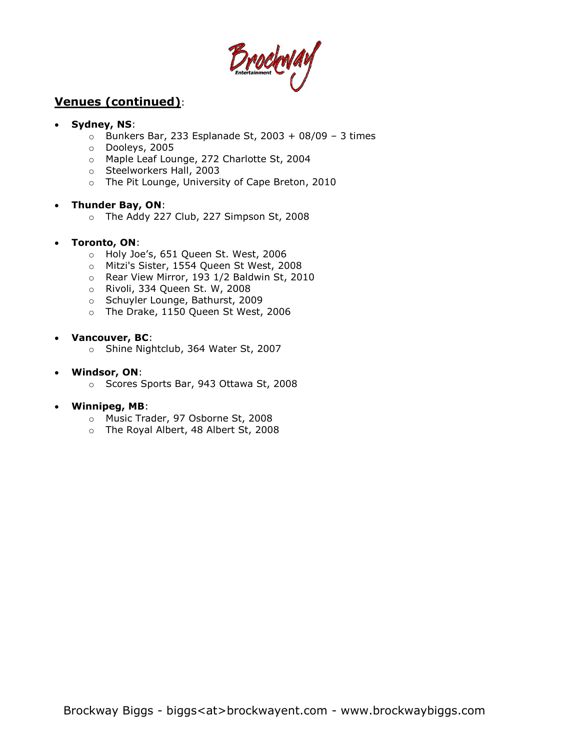Brockway

# **Venues (continued)**:

## **Sydney, NS**:

- $\circ$  Bunkers Bar, 233 Esplanade St, 2003 + 08/09 3 times
- o Dooleys, 2005
- o Maple Leaf Lounge, 272 Charlotte St, 2004
- o Steelworkers Hall, 2003
- o The Pit Lounge, University of Cape Breton, 2010

#### **Thunder Bay, ON**:

o The Addy 227 Club, 227 Simpson St, 2008

#### **Toronto, ON**:

- o Holy Joe's, 651 Queen St. West, 2006
- o Mitzi's Sister, 1554 Queen St West, 2008
- o Rear View Mirror, 193 1/2 Baldwin St, 2010
- o Rivoli, 334 Queen St. W, 2008
- o Schuyler Lounge, Bathurst, 2009
- o The Drake, 1150 Queen St West, 2006

#### **Vancouver, BC**:

o Shine Nightclub, 364 Water St, 2007

#### **Windsor, ON**:

o Scores Sports Bar, 943 Ottawa St, 2008

#### **Winnipeg, MB**:

- o Music Trader, 97 Osborne St, 2008
- o The Royal Albert, 48 Albert St, 2008